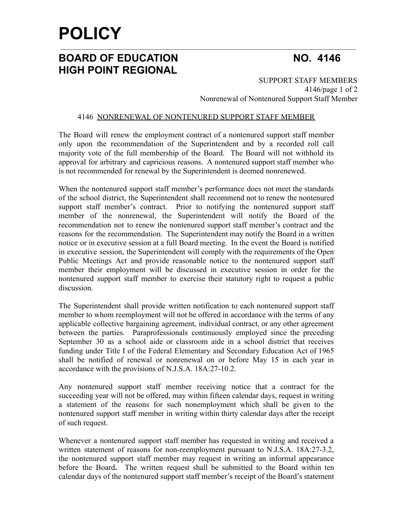# **POLICY**

## **BOARD OF EDUCATION NO. 4146 HIGH POINT REGIONAL**

SUPPORT STAFF MEMBERS 4146/page 1 of 2 Nonrenewal of Nontenured Support Staff Member

### 4146 NONRENEWAL OF NONTENURED SUPPORT STAFF MEMBER

The Board will renew the employment contract of a nontenured support staff member only upon the recommendation of the Superintendent and by a recorded roll call majority vote of the full membership of the Board. The Board will not withhold its approval for arbitrary and capricious reasons. A nontenured support staff member who is not recommended for renewal by the Superintendent is deemed nonrenewed.

When the nontenured support staff member's performance does not meet the standards of the school district, the Superintendent shall recommend not to renew the nontenured support staff member's contract. Prior to notifying the nontenured support staff member of the nonrenewal, the Superintendent will notify the Board of the recommendation not to renew the nontenured support staff member's contract and the reasons for the recommendation. The Superintendent may notify the Board in a written notice or in executive session at a full Board meeting. In the event the Board is notified in executive session, the Superintendent will comply with the requirements of the Open Public Meetings Act and provide reasonable notice to the nontenured support staff member their employment will be discussed in executive session in order for the nontenured support staff member to exercise their statutory right to request a public discussion.

The Superintendent shall provide written notification to each nontenured support staff member to whom reemployment will not be offered in accordance with the terms of any applicable collective bargaining agreement, individual contract, or any other agreement between the parties. Paraprofessionals continuously employed since the preceding September 30 as a school aide or classroom aide in a school district that receives funding under Title I of the Federal Elementary and Secondary Education Act of 1965 shall be notified of renewal or nonrenewal on or before May 15 in each year in accordance with the provisions of N.J.S.A. 18A:27-10.2.

Any nontenured support staff member receiving notice that a contract for the succeeding year will not be offered, may within fifteen calendar days, request in writing a statement of the reasons for such nonemployment which shall be given to the nontenured support staff member in writing within thirty calendar days after the receipt of such request.

Whenever a nontenured support staff member has requested in writing and received a written statement of reasons for non-reemployment pursuant to N.J.S.A. 18A:27-3.2, the nontenured support staff member may request in writing an informal appearance before the Board**.** The written request shall be submitted to the Board within ten calendar days of the nontenured support staff member's receipt of the Board's statement